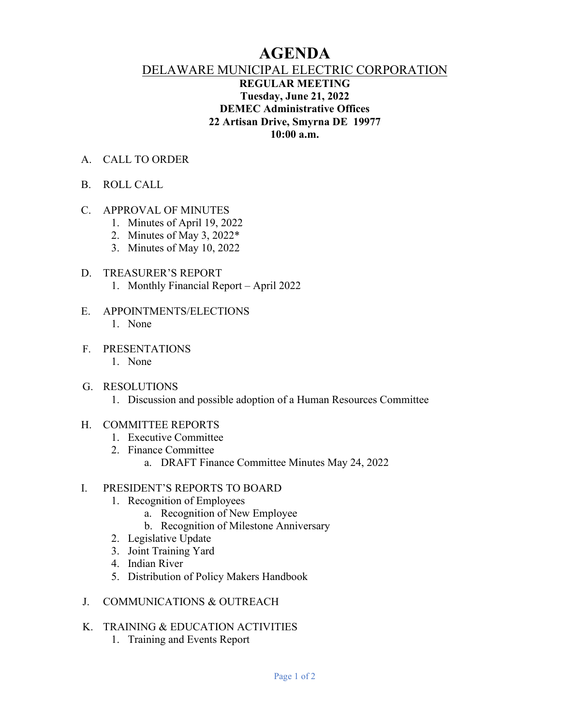# **AGENDA**

# DELAWARE MUNICIPAL ELECTRIC CORPORATION

# **REGULAR MEETING Tuesday, June 21, 2022 DEMEC Administrative Offices 22 Artisan Drive, Smyrna DE 19977 10:00 a.m.**

- A. CALL TO ORDER
- B. ROLL CALL

### C. APPROVAL OF MINUTES

- 1. Minutes of April 19, 2022
- 2. Minutes of May 3, 2022\*
- 3. Minutes of May 10, 2022

#### D. TREASURER'S REPORT

- 1. Monthly Financial Report April 2022
- E. APPOINTMENTS/ELECTIONS 1. None
- F. PRESENTATIONS
	- 1. None
- G. RESOLUTIONS
	- 1. Discussion and possible adoption of a Human Resources Committee

#### H. COMMITTEE REPORTS

- 1. Executive Committee
- 2. Finance Committee
	- a. DRAFT Finance Committee Minutes May 24, 2022

#### I. PRESIDENT'S REPORTS TO BOARD

- 1. Recognition of Employees
	- a. Recognition of New Employee
	- b. Recognition of Milestone Anniversary
- 2. Legislative Update
- 3. Joint Training Yard
- 4. Indian River
- 5. Distribution of Policy Makers Handbook
- J. COMMUNICATIONS & OUTREACH

# K. TRAINING & EDUCATION ACTIVITIES

1. Training and Events Report